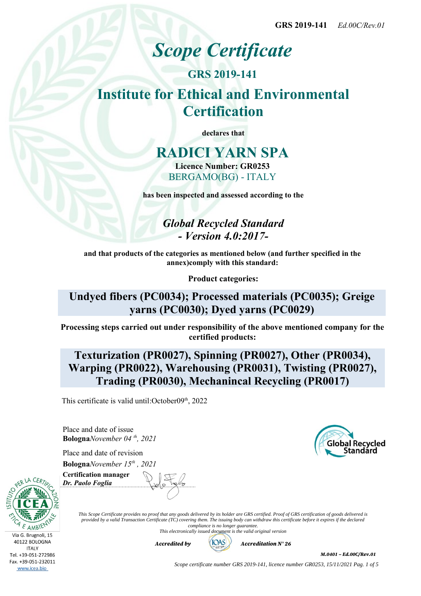# *Scope Certificate*

## **GRS 2019-141 Institute for Ethical and Environmental Certification**

**declares that**

## **RADICI YARN SPA**

**Licence Number: GR0253** BERGAMO(BG) - ITALY

**has been inspected and assessed according to the**

*Global Recycled Standard - Version 4.0:2017-*

**and that products of the categories as mentioned below (and further specified in the annex)comply with this standard:**

**Product categories:**

**Undyed fibers (PC0034); Processed materials (PC0035); Greige yarns (PC0030); Dyed yarns (PC0029)**

**Processing steps carried out under responsibility of the above mentioned company for the certified products:**

### **Texturization (PR0027), Spinning (PR0027), Other (PR0034), Warping (PR0022), Warehousing (PR0031), Twisting (PR0027), Trading (PR0030), Mechanincal Recycling (PR0017)**

This certificate is valid until: $October09<sup>th</sup>$ , 2022

Place and date of issue **Bologna***November 04 th, 2021*

Place and date of revision **Bologna***November 15th , 2021*



**Certification manager** *Dr. Paolo Foglia*

*This Scope Certificate provides no proof that any goods delivered by its holder are GRS certified. Proof of GRS certification of goods delivered is provided by a valid Transaction Certificate (TC) covering them. The issuing body can withdraw this certificate before it expires if the declared compliance is no longer guarantee.*

*This electronically issued document is the valid original version*



*M.0401 – Ed.00C/Rev.01*

*Scope certificate number GRS 2019-141, licence number GR0253, 15/11/2021 Pag. 1 of 5*

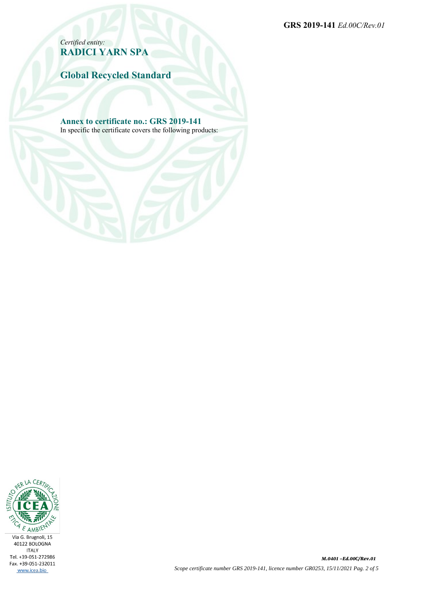**GRS 2019-141** *Ed.00C/Rev.01*

*Certified entity:* **RADICI YARN SPA**

**Global Recycled Standard**

**Annex to certificate no.: GRS 2019-141**

In specific the certificate covers the following products:

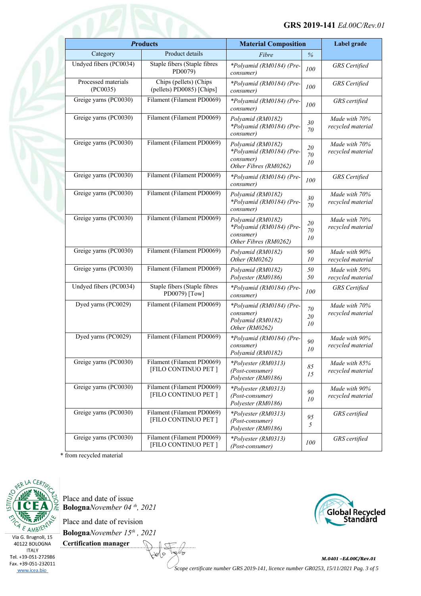| <b>Products</b>                 |                                                     | <b>Material Composition</b>                                                         |                    | Label grade                        |
|---------------------------------|-----------------------------------------------------|-------------------------------------------------------------------------------------|--------------------|------------------------------------|
| Category                        | Product details                                     | Fibre                                                                               | $\%$               |                                    |
| Undyed fibers (PC0034)          | Staple fibers (Staple fibres<br>PD0079)             | *Polyamid (RM0184) (Pre-<br>consumer)                                               | 100                | <b>GRS</b> Certified               |
| Processed materials<br>(PC0035) | Chips (pellets) (Chips<br>(pellets) PD0085) [Chips] | *Polyamid (RM0184) (Pre-<br>consumer)                                               | 100                | <b>GRS</b> Certified               |
| Greige yarns (PC0030)           | Filament (Filament PD0069)                          | *Polyamid (RM0184) (Pre-<br>consumer)                                               | 100                | GRS certified                      |
| Greige yarns (PC0030)           | Filament (Filament PD0069)                          | Polyamid (RM0182)<br>*Polyamid (RM0184) (Pre-<br>consumer)                          | 30<br>70           | Made with 70%<br>recycled material |
| Greige yarns (PC0030)           | Filament (Filament PD0069)                          | Polyamid (RM0182)<br>*Polyamid (RM0184) (Pre-<br>consumer)<br>Other Fibres (RM0262) | 20<br>70<br>10     | Made with 70%<br>recycled material |
| Greige yarns (PC0030)           | Filament (Filament PD0069)                          | *Polyamid (RM0184) (Pre-<br>consumer)                                               | 100                | <b>GRS</b> Certified               |
| Greige yarns (PC0030)           | Filament (Filament PD0069)                          | Polyamid (RM0182)<br>*Polyamid (RM0184) (Pre-<br>consumer)                          | 30<br>70           | Made with 70%<br>recycled material |
| Greige yarns (PC0030)           | Filament (Filament PD0069)                          | Polyamid (RM0182)<br>*Polyamid (RM0184) (Pre-<br>consumer)<br>Other Fibres (RM0262) | $20\,$<br>70<br>10 | Made with 70%<br>recycled material |
| Greige yarns (PC0030)           | Filament (Filament PD0069)                          | Polyamid (RM0182)<br>Other (RM0262)                                                 | 90<br>10           | Made with 90%<br>recycled material |
| Greige yarns (PC0030)           | Filament (Filament PD0069)                          | Polyamid (RM0182)<br>Polyester (RM0186)                                             | 50<br>50           | Made with 50%<br>recycled material |
| Undyed fibers (PC0034)          | Staple fibers (Staple fibres<br>PD0079) [Tow]       | *Polyamid (RM0184) (Pre-<br>consumer)                                               | 100                | <b>GRS</b> Certified               |
| Dyed yarns (PC0029)             | Filament (Filament PD0069)                          | *Polyamid (RM0184) (Pre-<br>consumer)<br>Polyamid (RM0182)<br>Other (RM0262)        | $70\,$<br>20<br>10 | Made with 70%<br>recycled material |
| Dyed yarns (PC0029)             | Filament (Filament PD0069)                          | *Polyamid (RM0184) (Pre-<br>consumer)<br>Polyamid (RM0182)                          | 90<br>10           | Made with 90%<br>recycled material |
| Greige yarns (PC0030)           | Filament (Filament PD0069)<br>[FILO CONTINUO PET]   | *Polyester (RM0313)<br>(Post-consumer)<br>Polyester (RM0186)                        | 85<br>15           | Made with 85%<br>recycled material |
| Greige yarns (PC0030)           | Filament (Filament PD0069)<br>[FILO CONTINUO PET]   | *Polyester (RM0313)<br>(Post-consumer)<br>Polyester (RM0186)                        | 90<br>10           | Made with 90%<br>recycled material |
| Greige yarns (PC0030)           | Filament (Filament PD0069)<br>[FILO CONTINUO PET]   | *Polyester (RM0313)<br>(Post-consumer)<br>Polyester (RM0186)                        | 95<br>5            | GRS certified                      |
| Greige yarns (PC0030)           | Filament (Filament PD0069)<br>[FILO CONTINUO PET]   | *Polyester (RM0313)<br>(Post-consumer)                                              | 100                | GRS certified                      |

\* from recycled material



40122 BOLOGNA **ITALY** Tel. +39-051-272986 Fax. +39-051-232011 www.icea.bio

Place and date of issue **Bologna***November 04 th, 2021*

Place and date of revision

**Bologna***November 15th , 2021* **Certification manager** ( င

∕≈



*M.0401 –Ed.00C/Rev.01 Scope certificate number GRS 2019-141, licence number GR0253, 15/11/2021 Pag. 3 of 5*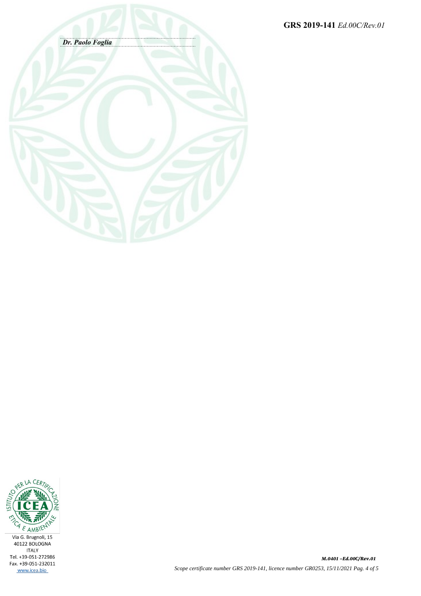**GRS 2019-141** *Ed.00C/Rev.01*



![](_page_3_Picture_2.jpeg)